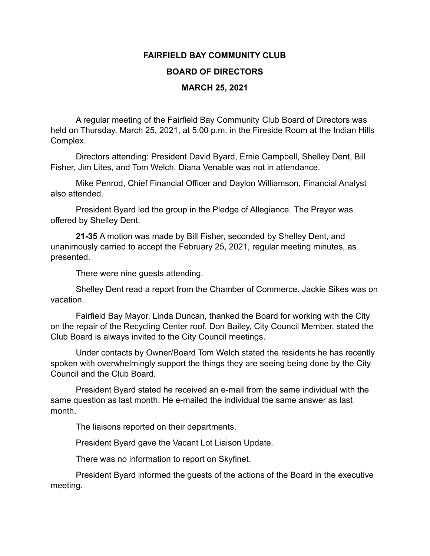## **FAIRFIELD BAY COMMUNITY CLUB BOARD OF DIRECTORS MARCH 25, 2021**

A regular meeting of the Fairfield Bay Community Club Board of Directors was held on Thursday, March 25, 2021, at 5:00 p.m. in the Fireside Room at the Indian Hills Complex.

Directors attending: President David Byard, Ernie Campbell, Shelley Dent, Bill Fisher, Jim Lites, and Tom Welch. Diana Venable was not in attendance.

Mike Penrod, Chief Financial Officer and Daylon Williamson, Financial Analyst also attended.

President Byard led the group in the Pledge of Allegiance. The Prayer was offered by Shelley Dent.

**21-35** A motion was made by Bill Fisher, seconded by Shelley Dent, and unanimously carried to accept the February 25, 2021, regular meeting minutes, as presented.

There were nine guests attending.

Shelley Dent read a report from the Chamber of Commerce. Jackie Sikes was on vacation.

Fairfield Bay Mayor, Linda Duncan, thanked the Board for working with the City on the repair of the Recycling Center roof. Don Bailey, City Council Member, stated the Club Board is always invited to the City Council meetings.

Under contacts by Owner/Board Tom Welch stated the residents he has recently spoken with overwhelmingly support the things they are seeing being done by the City Council and the Club Board.

President Byard stated he received an e-mail from the same individual with the same question as last month. He e-mailed the individual the same answer as last month.

The liaisons reported on their departments.

President Byard gave the Vacant Lot Liaison Update.

There was no information to report on Skyfinet.

President Byard informed the guests of the actions of the Board in the executive meeting.